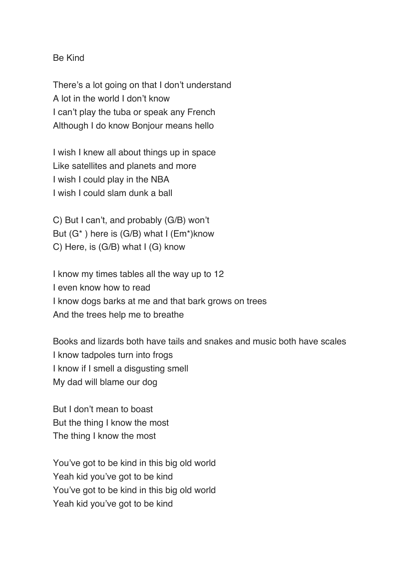Be Kind

There's a lot going on that I don't understand A lot in the world I don't know I can't play the tuba or speak any French Although I do know Bonjour means hello

I wish I knew all about things up in space Like satellites and planets and more I wish I could play in the NBA I wish I could slam dunk a ball

C) But I can't, and probably (G/B) won't But (G\* ) here is (G/B) what I (Em\*)know C) Here, is (G/B) what I (G) know

I know my times tables all the way up to 12 I even know how to read I know dogs barks at me and that bark grows on trees And the trees help me to breathe

Books and lizards both have tails and snakes and music both have scales I know tadpoles turn into frogs I know if I smell a disgusting smell My dad will blame our dog

But I don't mean to boast But the thing I know the most The thing I know the most

You've got to be kind in this big old world Yeah kid you've got to be kind You've got to be kind in this big old world Yeah kid you've got to be kind